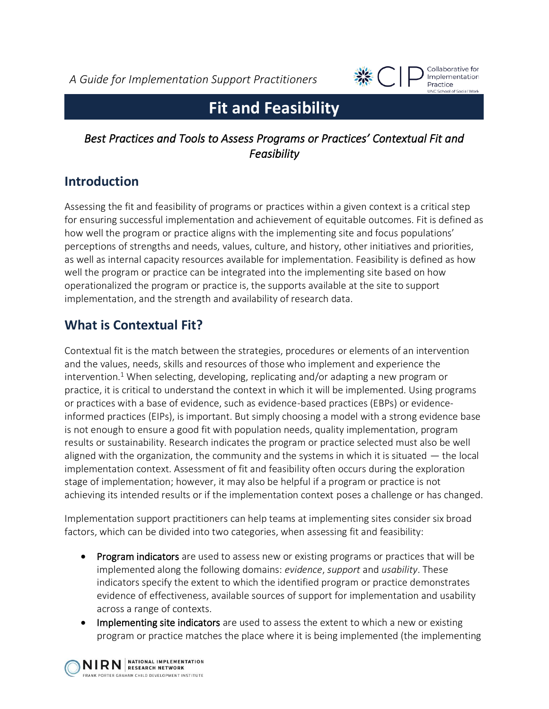*A Guide for Implementation Support Practitioners*



Collaborative for Implementation Practice **UNC School of Social Work** 

# **Fit and Feasibility**

### *Best Practices and Tools to Assess Programs or Practices' Contextual Fit and Feasibility*

# **Introduction**

Assessing the fit and feasibility of programs or practices within a given context is a critical step for ensuring successful implementation and achievement of equitable outcomes. Fit is defined as how well the program or practice aligns with the implementing site and focus populations' perceptions of strengths and needs, values, culture, and history, other initiatives and priorities, as well as internal capacity resources available for implementation. Feasibility is defined as how well the program or practice can be integrated into the implementing site based on how operationalized the program or practice is, the supports available at the site to support implementation, and the strength and availability of research data.

# **What is Contextual Fit?**

Contextual fit is the match between the strategies, procedures or elements of an intervention and the values, needs, skills and resources of those who implement and experience the intervention.<sup>1</sup> When selecting, developing, replicating and/or adapting a new program or practice, it is critical to understand the context in which it will be implemented. Using programs or practices with a base of evidence, such as evidence-based practices (EBPs) or evidenceinformed practices (EIPs), is important. But simply choosing a model with a strong evidence base is not enough to ensure a good fit with population needs, quality implementation, program results or sustainability. Research indicates the program or practice selected must also be well aligned with the organization, the community and the systems in which it is situated — the local implementation context. Assessment of fit and feasibility often occurs during the exploration stage of implementation; however, it may also be helpful if a program or practice is not achieving its intended results or if the implementation context poses a challenge or has changed.

Implementation support practitioners can help teams at implementing sites consider six broad factors, which can be divided into two categories, when assessing fit and feasibility:

- Program indicators are used to assess new or existing programs or practices that will be implemented along the following domains: *evidence*, *support* and *usability*. These indicators specify the extent to which the identified program or practice demonstrates evidence of effectiveness, available sources of support for implementation and usability across a range of contexts.
- Implementing site indicators are used to assess the extent to which a new or existing program or practice matches the place where it is being implemented (the implementing

NIRN RESEARCH NETWORK FRANK PORTER GRAHAM CHILD DEVELOPMENT INSTITUTE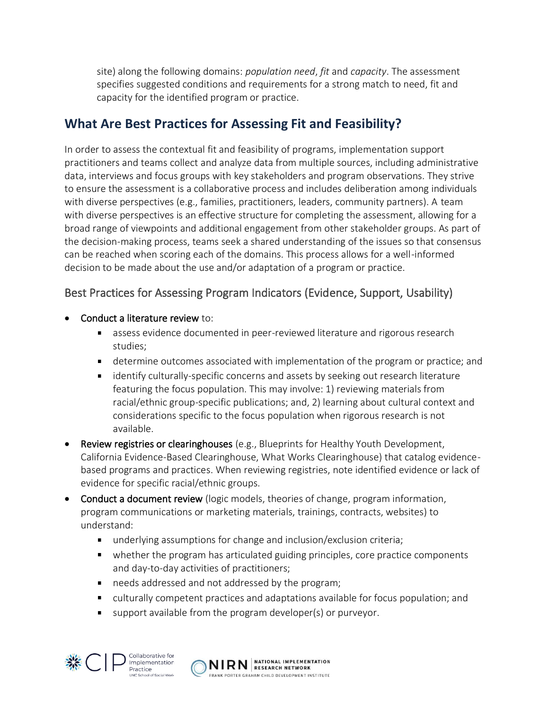site) along the following domains: *population need*, *fit* and *capacity*. The assessment specifies suggested conditions and requirements for a strong match to need, fit and capacity for the identified program or practice.

### **What Are Best Practices for Assessing Fit and Feasibility?**

In order to assess the contextual fit and feasibility of programs, implementation support practitioners and teams collect and analyze data from multiple sources, including administrative data, interviews and focus groups with key stakeholders and program observations. They strive to ensure the assessment is a collaborative process and includes deliberation among individuals with diverse perspectives (e.g., families, practitioners, leaders, community partners). A team with diverse perspectives is an effective structure for completing the assessment, allowing for a broad range of viewpoints and additional engagement from other stakeholder groups. As part of the decision-making process, teams seek a shared understanding of the issues so that consensus can be reached when scoring each of the domains. This process allows for a well-informed decision to be made about the use and/or adaptation of a program or practice.

#### Best Practices for Assessing Program Indicators (Evidence, Support, Usability)

- **Conduct a literature review to:** 
	- assess evidence documented in peer-reviewed literature and rigorous research studies;
	- determine outcomes associated with implementation of the program or practice; and
	- identify culturally-specific concerns and assets by seeking out research literature featuring the focus population. This may involve: 1) reviewing materials from racial/ethnic group-specific publications; and, 2) learning about cultural context and considerations specific to the focus population when rigorous research is not available.
- Review registries or clearinghouses (e.g., Blueprints for Healthy Youth Development, California Evidence-Based Clearinghouse, What Works Clearinghouse) that catalog evidencebased programs and practices. When reviewing registries, note identified evidence or lack of evidence for specific racial/ethnic groups.
- Conduct a document review (logic models, theories of change, program information, program communications or marketing materials, trainings, contracts, websites) to understand:
	- underlying assumptions for change and inclusion/exclusion criteria;
	- $\blacksquare$ whether the program has articulated guiding principles, core practice components and day-to-day activities of practitioners;
	- needs addressed and not addressed by the program;  $\mathbf{r}$
	- culturally competent practices and adaptations available for focus population; and
	- support available from the program developer(s) or purveyor.



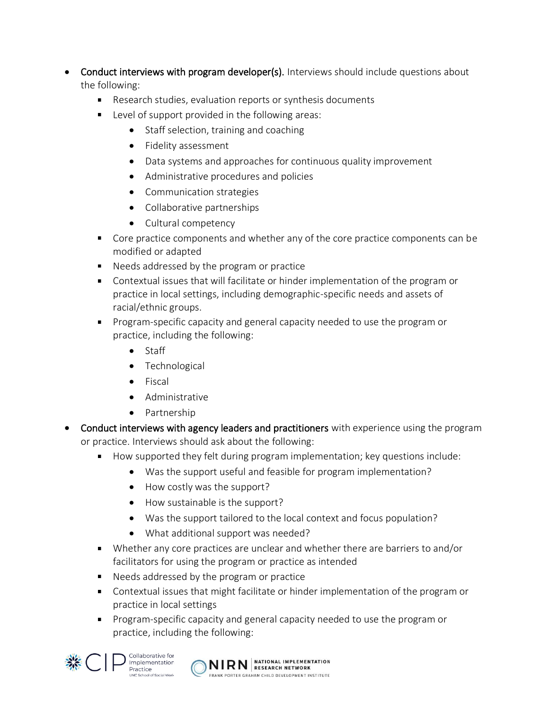- Conduct interviews with program developer(s). Interviews should include questions about the following:
	- $\mathbf{u} = \mathbf{v}$ Research studies, evaluation reports or synthesis documents
	- **Level of support provided in the following areas:** 
		- Staff selection, training and coaching
		- Fidelity assessment
		- Data systems and approaches for continuous quality improvement
		- Administrative procedures and policies
		- Communication strategies
		- Collaborative partnerships
		- Cultural competency
	- Core practice components and whether any of the core practice components can be modified or adapted
	- Needs addressed by the program or practice
	- Contextual issues that will facilitate or hinder implementation of the program or practice in local settings, including demographic-specific needs and assets of racial/ethnic groups.
	- Program-specific capacity and general capacity needed to use the program or practice, including the following:
		- Staff
		- Technological
		- Fiscal
		- Administrative
		- Partnership
- **Conduct interviews with agency leaders and practitioners** with experience using the program or practice. Interviews should ask about the following:
	- How supported they felt during program implementation; key questions include:
		- Was the support useful and feasible for program implementation?
		- How costly was the support?
		- How sustainable is the support?
		- Was the support tailored to the local context and focus population?
		- What additional support was needed?
	- Whether any core practices are unclear and whether there are barriers to and/or facilitators for using the program or practice as intended
	- Needs addressed by the program or practice
	- Contextual issues that might facilitate or hinder implementation of the program or practice in local settings
	- **Program-specific capacity and general capacity needed to use the program or** practice, including the following:



Collaborative for Implementation Practice ol of Social Mork

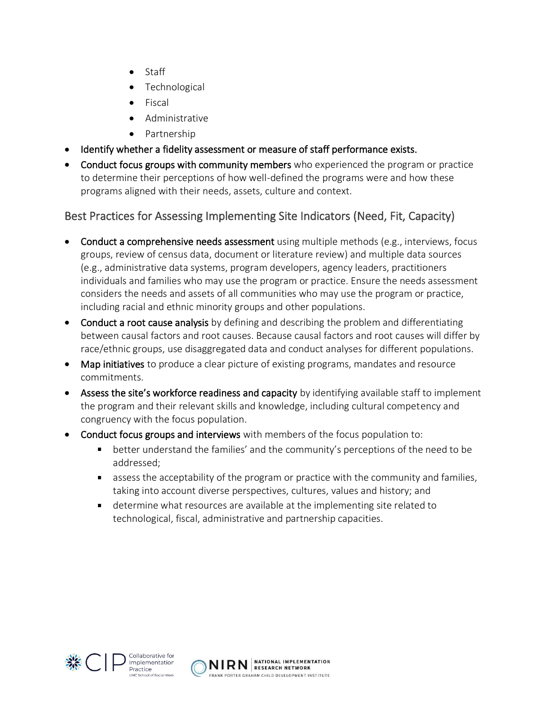- Staff
- Technological
- Fiscal
- Administrative
- Partnership
- Identify whether a fidelity assessment or measure of staff performance exists.
- Conduct focus groups with community members who experienced the program or practice to determine their perceptions of how well-defined the programs were and how these programs aligned with their needs, assets, culture and context.

### Best Practices for Assessing Implementing Site Indicators (Need, Fit, Capacity)

- Conduct a comprehensive needs assessment using multiple methods (e.g., interviews, focus groups, review of census data, document or literature review) and multiple data sources (e.g., administrative data systems, program developers, agency leaders, practitioners individuals and families who may use the program or practice. Ensure the needs assessment considers the needs and assets of all communities who may use the program or practice, including racial and ethnic minority groups and other populations.
- Conduct a root cause analysis by defining and describing the problem and differentiating between causal factors and root causes. Because causal factors and root causes will differ by race/ethnic groups, use disaggregated data and conduct analyses for different populations.
- Map initiatives to produce a clear picture of existing programs, mandates and resource commitments.
- Assess the site's workforce readiness and capacity by identifying available staff to implement the program and their relevant skills and knowledge, including cultural competency and congruency with the focus population.
- Conduct focus groups and interviews with members of the focus population to:
	- better understand the families' and the community's perceptions of the need to be  $\mathbf{u}$  . addressed;
	- **EXT** assess the acceptability of the program or practice with the community and families, taking into account diverse perspectives, cultures, values and history; and
	- determine what resources are available at the implementing site related to technological, fiscal, administrative and partnership capacities.



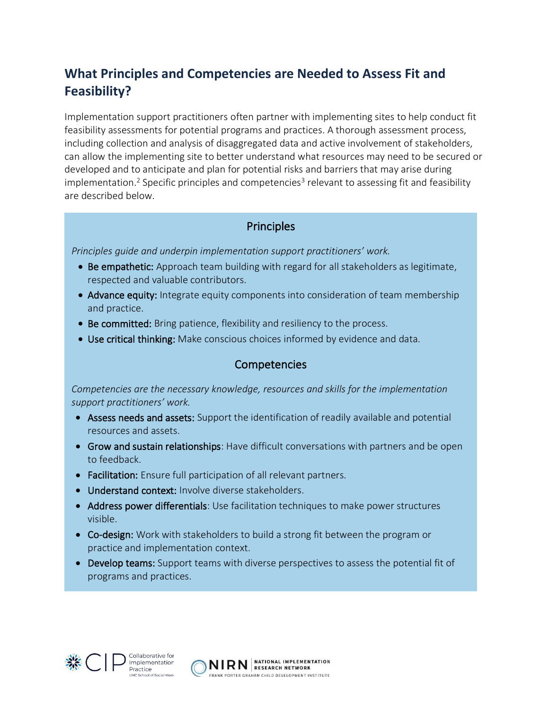# **What Principles and Competencies are Needed to Assess Fit and Feasibility?**

Implementation support practitioners often partner with implementing sites to help conduct fit feasibility assessments for potential programs and practices. A thorough assessment process, including collection and analysis of disaggregated data and active involvement of stakeholders, can allow the implementing site to better understand what resources may need to be secured or developed and to anticipate and plan for potential risks and barriers that may arise during implementation.<sup>2</sup> Specific principles and competencies<sup>3</sup> relevant to assessing fit and feasibility are described below.

#### **Principles**

*Principles guide and underpin implementation support practitioners' work.* 

- Be empathetic: Approach team building with regard for all stakeholders as legitimate, respected and valuable contributors.
- Advance equity: Integrate equity components into consideration of team membership and practice.
- Be committed: Bring patience, flexibility and resiliency to the process.
- Use critical thinking: Make conscious choices informed by evidence and data.

#### Competencies

*Competencies are the necessary knowledge, resources and skills for the implementation support practitioners' work.* 

- Assess needs and assets: Support the identification of readily available and potential resources and assets.
- Grow and sustain relationships: Have difficult conversations with partners and be open to feedback.
- Facilitation: Ensure full participation of all relevant partners.
- Understand context: Involve diverse stakeholders.
- Address power differentials: Use facilitation techniques to make power structures visible.
- Co-design: Work with stakeholders to build a strong fit between the program or practice and implementation context.
- Develop teams: Support teams with diverse perspectives to assess the potential fit of programs and practices.